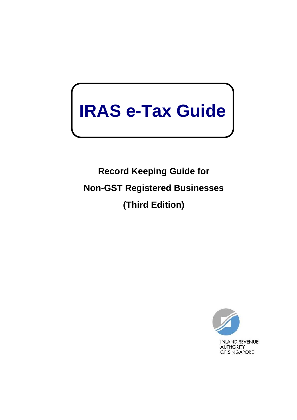# $\mathbf{I}$ **IRAS e-Tax Guide**

**Record Keeping Guide for Non-GST Registered Businesses (Third Edition)**

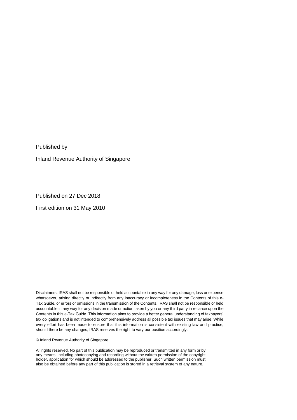Published by

Inland Revenue Authority of Singapore

Published on 27 Dec 2018

First edition on 31 May 2010

Disclaimers: IRAS shall not be responsible or held accountable in any way for any damage, loss or expense whatsoever, arising directly or indirectly from any inaccuracy or incompleteness in the Contents of this e-Tax Guide, or errors or omissions in the transmission of the Contents. IRAS shall not be responsible or held accountable in any way for any decision made or action taken by you or any third party in reliance upon the Contents in this e-Tax Guide. This information aims to provide a better general understanding of taxpayers' tax obligations and is not intended to comprehensively address all possible tax issues that may arise. While every effort has been made to ensure that this information is consistent with existing law and practice, should there be any changes, IRAS reserves the right to vary our position accordingly.

© Inland Revenue Authority of Singapore

All rights reserved. No part of this publication may be reproduced or transmitted in any form or by any means, including photocopying and recording without the written permission of the copyright holder, application for which should be addressed to the publisher. Such written permission must also be obtained before any part of this publication is stored in a retrieval system of any nature.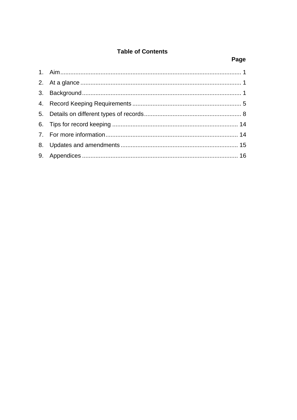# **Table of Contents**

# Page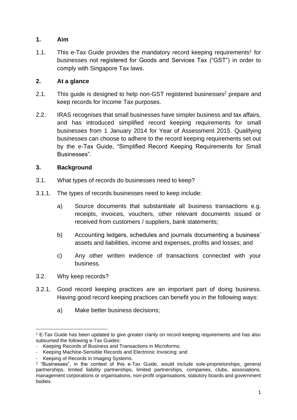## <span id="page-3-0"></span>**1. Aim**

1.1. This e-Tax Guide provides the mandatory record keeping requirements<sup>1</sup> for businesses not registered for Goods and Services Tax ("GST") in order to comply with Singapore Tax laws.

## <span id="page-3-1"></span>**2. At a glance**

- 2.1. This guide is designed to help non-GST registered businesses<sup>2</sup> prepare and keep records for Income Tax purposes.
- 2.2. IRAS recognises that small businesses have simpler business and tax affairs, and has introduced simplified record keeping requirements for small businesses from 1 January 2014 for Year of Assessment 2015. Qualifying businesses can choose to adhere to the record keeping requirements set out by the e-Tax Guide, "Simplified Record Keeping Requirements for Small Businesses".

#### <span id="page-3-2"></span>**3. Background**

- 3.1. What types of records do businesses need to keep?
- 3.1.1. The types of records businesses need to keep include:
	- a) Source documents that substantiate all business transactions e.g. receipts, invoices, vouchers, other relevant documents issued or received from customers / suppliers, bank statements;
	- b) Accounting ledgers, schedules and journals documenting a business' assets and liabilities, income and expenses, profits and losses; and
	- c) Any other written evidence of transactions connected with your business.
- 3.2. Why keep records?
- 3.2.1. Good record keeping practices are an important part of doing business. Having good record keeping practices can benefit you in the following ways:
	- a) Make better business decisions;

<sup>1</sup> E-Tax Guide has been updated to give greater clarity on record keeping requirements and has also subsumed the following e-Tax Guides:

<sup>-</sup> Keeping Records of Business and Transactions in Microforms;

<sup>-</sup> Keeping Machine-Sensible Records and Electronic Invoicing; and

<sup>-</sup> Keeping of Records in Imaging Systems.

<sup>2</sup> "Businesses", in the context of this e-Tax Guide, would include sole-proprietorships, general partnerships, limited liability partnerships, limited partnerships, companies, clubs, associations, management corporations or organisations, non-profit organisations, statutory boards and government bodies.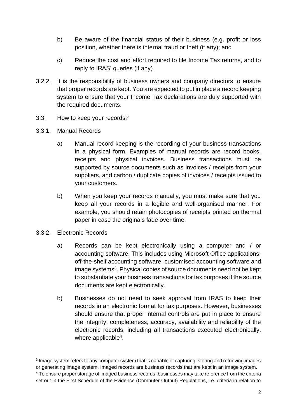- b) Be aware of the financial status of their business (e.g. profit or loss position, whether there is internal fraud or theft (if any); and
- c) Reduce the cost and effort required to file Income Tax returns, and to reply to IRAS' queries (if any).
- 3.2.2. It is the responsibility of business owners and company directors to ensure that proper records are kept. You are expected to put in place a record keeping system to ensure that your Income Tax declarations are duly supported with the required documents.
- 3.3. How to keep your records?
- 3.3.1. Manual Records
	- a) Manual record keeping is the recording of your business transactions in a physical form. Examples of manual records are record books, receipts and physical invoices. Business transactions must be supported by source documents such as invoices / receipts from your suppliers, and carbon / duplicate copies of invoices / receipts issued to your customers.
	- b) When you keep your records manually, you must make sure that you keep all your records in a legible and well-organised manner. For example, you should retain photocopies of receipts printed on thermal paper in case the originals fade over time.
- 3.3.2. Electronic Records
	- a) Records can be kept electronically using a computer and / or accounting software. This includes using Microsoft Office applications, off-the-shelf accounting software, customised accounting software and image systems<sup>3</sup>. Physical copies of source documents need not be kept to substantiate your business transactions for tax purposes if the source documents are kept electronically.
	- b) Businesses do not need to seek approval from IRAS to keep their records in an electronic format for tax purposes. However, businesses should ensure that proper internal controls are put in place to ensure the integrity, completeness, accuracy, availability and reliability of the electronic records, including all transactions executed electronically, where applicable<sup>4</sup>.

<sup>&</sup>lt;sup>3</sup> Image system refers to any computer system that is capable of capturing, storing and retrieving images or generating image system. Imaged records are business records that are kept in an image system. <sup>4</sup> To ensure proper storage of imaged business records, businesses may take reference from the criteria

set out in the First Schedule of the Evidence (Computer Output) Regulations, i.e. criteria in relation to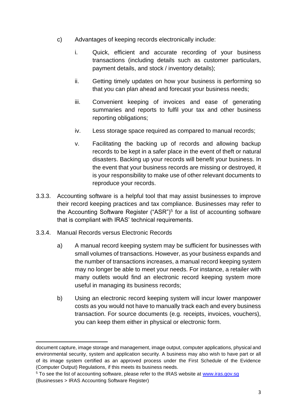- c) Advantages of keeping records electronically include:
	- i. Quick, efficient and accurate recording of your business transactions (including details such as customer particulars, payment details, and stock / inventory details);
	- ii. Getting timely updates on how your business is performing so that you can plan ahead and forecast your business needs;
	- iii. Convenient keeping of invoices and ease of generating summaries and reports to fulfil your tax and other business reporting obligations;
	- iv. Less storage space required as compared to manual records;
	- v. Facilitating the backing up of records and allowing backup records to be kept in a safer place in the event of theft or natural disasters. Backing up your records will benefit your business. In the event that your business records are missing or destroyed, it is your responsibility to make use of other relevant documents to reproduce your records.
- 3.3.3. Accounting software is a helpful tool that may assist businesses to improve their record keeping practices and tax compliance. Businesses may refer to the Accounting Software Register ("ASR")<sup>5</sup> for a list of accounting software that is compliant with IRAS' technical requirements.
- 3.3.4. Manual Records versus Electronic Records
	- a) A manual record keeping system may be sufficient for businesses with small volumes of transactions. However, as your business expands and the number of transactions increases, a manual record keeping system may no longer be able to meet your needs. For instance, a retailer with many outlets would find an electronic record keeping system more useful in managing its business records;
	- b) Using an electronic record keeping system will incur lower manpower costs as you would not have to manually track each and every business transaction. For source documents (e.g. receipts, invoices, vouchers), you can keep them either in physical or electronic form.

document capture, image storage and management, image output, computer applications, physical and environmental security, system and application security. A business may also wish to have part or all of its image system certified as an approved process under the First Schedule of the Evidence (Computer Output) Regulations, if this meets its business needs.

<sup>&</sup>lt;sup>5</sup> To see the list of accounting software, please refer to the IRAS website at www.iras.gov.sg (Businesses > IRAS Accounting Software Register)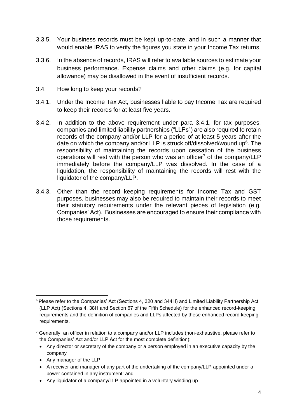- 3.3.5. Your business records must be kept up-to-date, and in such a manner that would enable IRAS to verify the figures you state in your Income Tax returns.
- 3.3.6. In the absence of records, IRAS will refer to available sources to estimate your business performance. Expense claims and other claims (e.g. for capital allowance) may be disallowed in the event of insufficient records.
- 3.4. How long to keep your records?
- 3.4.1. Under the Income Tax Act, businesses liable to pay Income Tax are required to keep their records for at least five years.
- 3.4.2. In addition to the above requirement under para 3.4.1, for tax purposes, companies and limited liability partnerships ("LLPs") are also required to retain records of the company and/or LLP for a period of at least 5 years after the date on which the company and/or LLP is struck off/dissolved/wound up $6$ . The responsibility of maintaining the records upon cessation of the business operations will rest with the person who was an officer<sup>7</sup> of the company/LLP immediately before the company/LLP was dissolved. In the case of a liquidation, the responsibility of maintaining the records will rest with the liquidator of the company/LLP.
- 3.4.3. Other than the record keeping requirements for Income Tax and GST purposes, businesses may also be required to maintain their records to meet their statutory requirements under the relevant pieces of legislation (e.g. Companies' Act). Businesses are encouraged to ensure their compliance with those requirements.

- Any director or secretary of the company or a person employed in an executive capacity by the company
- Any manager of the LLP
- A receiver and manager of any part of the undertaking of the company/LLP appointed under a power contained in any instrument: and
- Any liquidator of a company/LLP appointed in a voluntary winding up

<sup>6</sup> Please refer to the Companies' Act (Sections 4, 320 and 344H) and Limited Liability Partnership Act (LLP Act) (Sections 4, 38H and Section 67 of the Fifth Schedule) for the enhanced record-keeping requirements and the definition of companies and LLPs affected by these enhanced record keeping requirements.

 $7$  Generally, an officer in relation to a company and/or LLP includes (non-exhaustive, please refer to the Companies' Act and/or LLP Act for the most complete definition):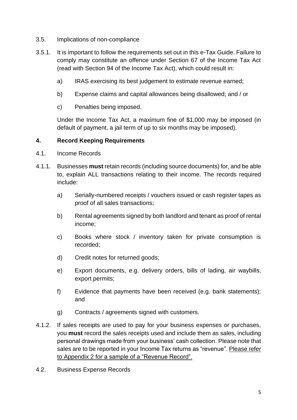- 3.5. Implications of non-compliance
- 3.5.1. It is important to follow the requirements set out in this e-Tax Guide. Failure to comply may constitute an offence under Section 67 of the Income Tax Act (read with Section 94 of the Income Tax Act), which could result in:
	- a) IRAS exercising its best judgement to estimate revenue earned;
	- b) Expense claims and capital allowances being disallowed; and / or
	- c) Penalties being imposed.

Under the Income Tax Act, a maximum fine of \$1,000 may be imposed (in default of payment, a jail term of up to six months may be imposed).

#### <span id="page-7-0"></span>**4. Record Keeping Requirements**

- 4.1. Income Records
- 4.1.1. Businesses **must** retain records (including source documents) for, and be able to, explain ALL transactions relating to their income. The records required include:
	- a) Serially-numbered receipts / vouchers issued or cash register tapes as proof of all sales transactions;
	- b) Rental agreements signed by both landlord and tenant as proof of rental income;
	- c) Books where stock / inventory taken for private consumption is recorded;
	- d) Credit notes for returned goods;
	- e) Export documents, e.g. delivery orders, bills of lading, air waybills, export permits;
	- f) Evidence that payments have been received (e.g. bank statements); and
	- g) Contracts / agreements signed with customers.
- 4.1.2. If sales receipts are used to pay for your business expenses or purchases, you **must** record the sales receipts used and include them as sales, including personal drawings made from your business' cash collection. Please note that sales are to be reported in your Income Tax returns as "revenue". Please refer to Appendix 2 for a sample of a "Revenue Record".
- 4.2. Business Expense Records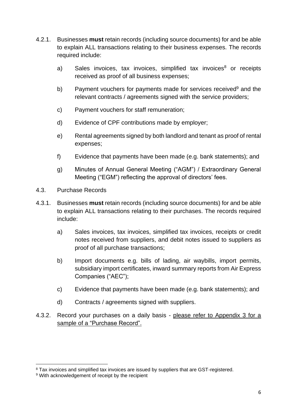- 4.2.1. Businesses **must** retain records (including source documents) for and be able to explain ALL transactions relating to their business expenses. The records required include:
	- a) Sales invoices, tax invoices, simplified tax invoices $8$  or receipts received as proof of all business expenses;
	- b) Payment vouchers for payments made for services received<sup>9</sup> and the relevant contracts / agreements signed with the service providers;
	- c) Payment vouchers for staff remuneration;
	- d) Evidence of CPF contributions made by employer;
	- e) Rental agreements signed by both landlord and tenant as proof of rental expenses;
	- f) Evidence that payments have been made (e.g. bank statements); and
	- g) Minutes of Annual General Meeting ("AGM") / Extraordinary General Meeting ("EGM") reflecting the approval of directors' fees.
- 4.3. Purchase Records
- 4.3.1. Businesses **must** retain records (including source documents) for and be able to explain ALL transactions relating to their purchases. The records required include:
	- a) Sales invoices, tax invoices, simplified tax invoices, receipts or credit notes received from suppliers, and debit notes issued to suppliers as proof of all purchase transactions;
	- b) Import documents e.g. bills of lading, air waybills, import permits, subsidiary import certificates, inward summary reports from Air Express Companies ("AEC");
	- c) Evidence that payments have been made (e.g. bank statements); and
	- d) Contracts / agreements signed with suppliers.
- 4.3.2. Record your purchases on a daily basis please refer to Appendix 3 for a sample of a "Purchase Record".

<sup>&</sup>lt;sup>8</sup> Tax invoices and simplified tax invoices are issued by suppliers that are GST-registered.

<sup>&</sup>lt;sup>9</sup> With acknowledgement of receipt by the recipient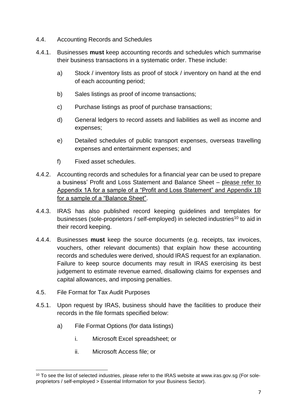- 4.4. Accounting Records and Schedules
- 4.4.1. Businesses **must** keep accounting records and schedules which summarise their business transactions in a systematic order. These include:
	- a) Stock / inventory lists as proof of stock / inventory on hand at the end of each accounting period;
	- b) Sales listings as proof of income transactions;
	- c) Purchase listings as proof of purchase transactions;
	- d) General ledgers to record assets and liabilities as well as income and expenses;
	- e) Detailed schedules of public transport expenses, overseas travelling expenses and entertainment expenses; and
	- f) Fixed asset schedules.
- 4.4.2. Accounting records and schedules for a financial year can be used to prepare a business' Profit and Loss Statement and Balance Sheet – please refer to Appendix 1A for a sample of a "Profit and Loss Statement" and Appendix 1B for a sample of a "Balance Sheet".
- 4.4.3. IRAS has also published record keeping guidelines and templates for businesses (sole-proprietors / self-employed) in selected industries<sup>10</sup> to aid in their record keeping.
- 4.4.4. Businesses **must** keep the source documents (e.g. receipts, tax invoices, vouchers, other relevant documents) that explain how these accounting records and schedules were derived, should IRAS request for an explanation. Failure to keep source documents may result in IRAS exercising its best judgement to estimate revenue earned, disallowing claims for expenses and capital allowances, and imposing penalties.
- 4.5. File Format for Tax Audit Purposes
- 4.5.1. Upon request by IRAS, business should have the facilities to produce their records in the file formats specified below:
	- a) File Format Options (for data listings)
		- i. Microsoft Excel spreadsheet; or
		- ii. Microsoft Access file; or

<sup>&</sup>lt;sup>10</sup> To see the list of selected industries, please refer to the IRAS website at www.iras.gov.sg (For soleproprietors / self-employed > Essential Information for your Business Sector).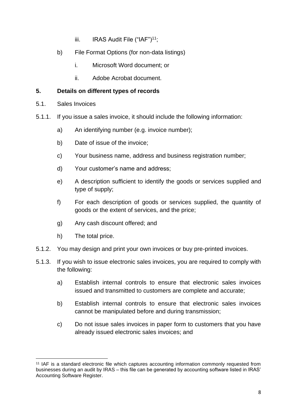- iii. IRAS Audit File  $("IAF")<sup>11</sup>$ ;
- b) File Format Options (for non-data listings)
	- i. Microsoft Word document; or
	- ii. Adobe Acrobat document.

#### <span id="page-10-0"></span>**5. Details on different types of records**

- 5.1. Sales Invoices
- 5.1.1. If you issue a sales invoice, it should include the following information:
	- a) An identifying number (e.g. invoice number);
	- b) Date of issue of the invoice;
	- c) Your business name, address and business registration number;
	- d) Your customer's name and address;
	- e) A description sufficient to identify the goods or services supplied and type of supply;
	- f) For each description of goods or services supplied, the quantity of goods or the extent of services, and the price;
	- g) Any cash discount offered; and
	- h) The total price.
- 5.1.2. You may design and print your own invoices or buy pre-printed invoices.
- 5.1.3. If you wish to issue electronic sales invoices, you are required to comply with the following:
	- a) Establish internal controls to ensure that electronic sales invoices issued and transmitted to customers are complete and accurate;
	- b) Establish internal controls to ensure that electronic sales invoices cannot be manipulated before and during transmission;
	- c) Do not issue sales invoices in paper form to customers that you have already issued electronic sales invoices; and

<sup>11</sup> IAF is a standard electronic file which captures accounting information commonly requested from businesses during an audit by IRAS – this file can be generated by accounting software listed in IRAS' Accounting Software Register.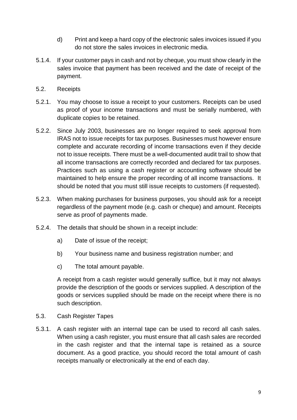- d) Print and keep a hard copy of the electronic sales invoices issued if you do not store the sales invoices in electronic media.
- 5.1.4. If your customer pays in cash and not by cheque, you must show clearly in the sales invoice that payment has been received and the date of receipt of the payment.
- 5.2. Receipts
- 5.2.1. You may choose to issue a receipt to your customers. Receipts can be used as proof of your income transactions and must be serially numbered, with duplicate copies to be retained.
- 5.2.2. Since July 2003, businesses are no longer required to seek approval from IRAS not to issue receipts for tax purposes. Businesses must however ensure complete and accurate recording of income transactions even if they decide not to issue receipts. There must be a well-documented audit trail to show that all income transactions are correctly recorded and declared for tax purposes. Practices such as using a cash register or accounting software should be maintained to help ensure the proper recording of all income transactions. It should be noted that you must still issue receipts to customers (if requested).
- 5.2.3. When making purchases for business purposes, you should ask for a receipt regardless of the payment mode (e.g. cash or cheque) and amount. Receipts serve as proof of payments made.
- 5.2.4. The details that should be shown in a receipt include:
	- a) Date of issue of the receipt;
	- b) Your business name and business registration number; and
	- c) The total amount payable.

A receipt from a cash register would generally suffice, but it may not always provide the description of the goods or services supplied. A description of the goods or services supplied should be made on the receipt where there is no such description.

- 5.3. Cash Register Tapes
- 5.3.1. A cash register with an internal tape can be used to record all cash sales. When using a cash register, you must ensure that all cash sales are recorded in the cash register and that the internal tape is retained as a source document. As a good practice, you should record the total amount of cash receipts manually or electronically at the end of each day.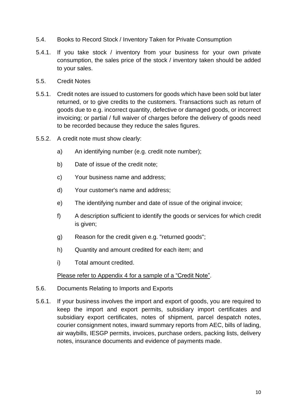- 5.4. Books to Record Stock / Inventory Taken for Private Consumption
- 5.4.1. If you take stock / inventory from your business for your own private consumption, the sales price of the stock / inventory taken should be added to your sales.
- 5.5. Credit Notes
- 5.5.1. Credit notes are issued to customers for goods which have been sold but later returned, or to give credits to the customers. Transactions such as return of goods due to e.g. incorrect quantity, defective or damaged goods, or incorrect invoicing; or partial / full waiver of charges before the delivery of goods need to be recorded because they reduce the sales figures.
- 5.5.2. A credit note must show clearly:
	- a) An identifying number (e.g. credit note number);
	- b) Date of issue of the credit note;
	- c) Your business name and address;
	- d) Your customer's name and address;
	- e) The identifying number and date of issue of the original invoice;
	- f) A description sufficient to identify the goods or services for which credit is given;
	- g) Reason for the credit given e.g. "returned goods";
	- h) Quantity and amount credited for each item; and
	- i) Total amount credited.

Please refer to Appendix 4 for a sample of a "Credit Note".

- 5.6. Documents Relating to Imports and Exports
- 5.6.1. If your business involves the import and export of goods, you are required to keep the import and export permits, subsidiary import certificates and subsidiary export certificates, notes of shipment, parcel despatch notes, courier consignment notes, inward summary reports from AEC, bills of lading, air waybills, IESGP permits, invoices, purchase orders, packing lists, delivery notes, insurance documents and evidence of payments made.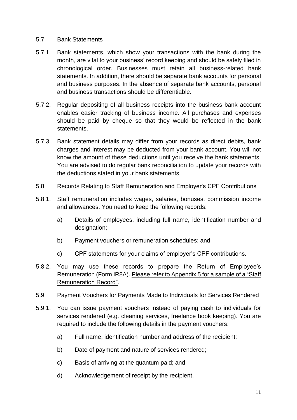#### 5.7. Bank Statements

- 5.7.1. Bank statements, which show your transactions with the bank during the month, are vital to your business' record keeping and should be safely filed in chronological order. Businesses must retain all business-related bank statements. In addition, there should be separate bank accounts for personal and business purposes. In the absence of separate bank accounts, personal and business transactions should be differentiable.
- 5.7.2. Regular depositing of all business receipts into the business bank account enables easier tracking of business income. All purchases and expenses should be paid by cheque so that they would be reflected in the bank statements.
- 5.7.3. Bank statement details may differ from your records as direct debits, bank charges and interest may be deducted from your bank account. You will not know the amount of these deductions until you receive the bank statements. You are advised to do regular bank reconciliation to update your records with the deductions stated in your bank statements.
- 5.8. Records Relating to Staff Remuneration and Employer's CPF Contributions
- 5.8.1. Staff remuneration includes wages, salaries, bonuses, commission income and allowances. You need to keep the following records:
	- a) Details of employees, including full name, identification number and designation;
	- b) Payment vouchers or remuneration schedules; and
	- c) CPF statements for your claims of employer's CPF contributions.
- 5.8.2. You may use these records to prepare the Return of Employee's Remuneration (Form IR8A). Please refer to Appendix 5 for a sample of a "Staff Remuneration Record".
- 5.9. Payment Vouchers for Payments Made to Individuals for Services Rendered
- 5.9.1. You can issue payment vouchers instead of paying cash to individuals for services rendered (e.g. cleaning services, freelance book keeping). You are required to include the following details in the payment vouchers:
	- a) Full name, identification number and address of the recipient;
	- b) Date of payment and nature of services rendered;
	- c) Basis of arriving at the quantum paid; and
	- d) Acknowledgement of receipt by the recipient.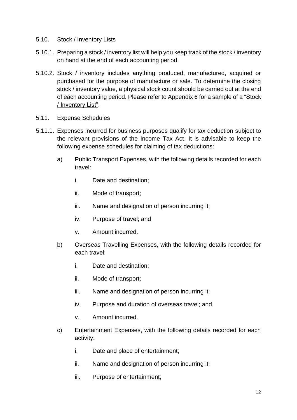- 5.10. Stock / Inventory Lists
- 5.10.1. Preparing a stock / inventory list will help you keep track of the stock / inventory on hand at the end of each accounting period.
- 5.10.2. Stock / inventory includes anything produced, manufactured, acquired or purchased for the purpose of manufacture or sale. To determine the closing stock / inventory value, a physical stock count should be carried out at the end of each accounting period. Please refer to Appendix 6 for a sample of a "Stock / Inventory List".
- 5.11. Expense Schedules
- 5.11.1. Expenses incurred for business purposes qualify for tax deduction subject to the relevant provisions of the Income Tax Act. It is advisable to keep the following expense schedules for claiming of tax deductions:
	- a) Public Transport Expenses, with the following details recorded for each travel:
		- i. Date and destination;
		- ii. Mode of transport;
		- iii. Name and designation of person incurring it;
		- iv. Purpose of travel; and
		- v. Amount incurred.
	- b) Overseas Travelling Expenses, with the following details recorded for each travel:
		- i. Date and destination;
		- ii. Mode of transport;
		- iii. Name and designation of person incurring it;
		- iv. Purpose and duration of overseas travel; and
		- v. Amount incurred.
	- c) Entertainment Expenses, with the following details recorded for each activity:
		- i. Date and place of entertainment;
		- ii. Name and designation of person incurring it;
		- iii. Purpose of entertainment;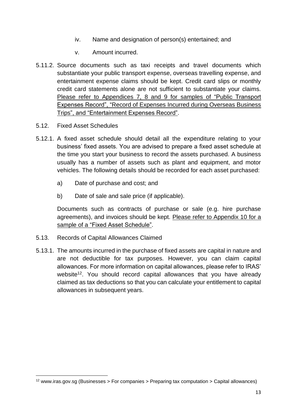- iv. Name and designation of person(s) entertained; and
- v. Amount incurred.
- 5.11.2. Source documents such as taxi receipts and travel documents which substantiate your public transport expense, overseas travelling expense, and entertainment expense claims should be kept. Credit card slips or monthly credit card statements alone are not sufficient to substantiate your claims. Please refer to Appendices 7, 8 and 9 for samples of "Public Transport Expenses Record", "Record of Expenses Incurred during Overseas Business Trips", and "Entertainment Expenses Record".
- 5.12. Fixed Asset Schedules
- 5.12.1. A fixed asset schedule should detail all the expenditure relating to your business' fixed assets. You are advised to prepare a fixed asset schedule at the time you start your business to record the assets purchased. A business usually has a number of assets such as plant and equipment, and motor vehicles. The following details should be recorded for each asset purchased:
	- a) Date of purchase and cost; and
	- b) Date of sale and sale price (if applicable).

Documents such as contracts of purchase or sale (e.g. hire purchase agreements), and invoices should be kept. Please refer to Appendix 10 for a sample of a "Fixed Asset Schedule".

- 5.13. Records of Capital Allowances Claimed
- 5.13.1. The amounts incurred in the purchase of fixed assets are capital in nature and are not deductible for tax purposes. However, you can claim capital allowances. For more information on capital allowances, please refer to IRAS' website<sup>12</sup>. You should record capital allowances that you have already claimed as tax deductions so that you can calculate your entitlement to capital allowances in subsequent years.

<sup>12</sup> www.iras.gov.sg (Businesses > For companies > Preparing tax computation > Capital allowances)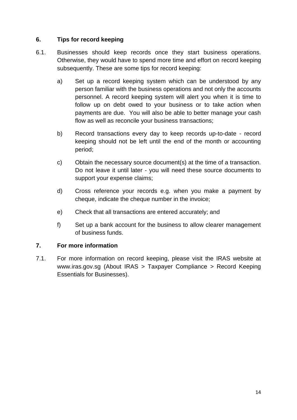#### <span id="page-16-0"></span>**6. Tips for record keeping**

- 6.1. Businesses should keep records once they start business operations. Otherwise, they would have to spend more time and effort on record keeping subsequently. These are some tips for record keeping:
	- a) Set up a record keeping system which can be understood by any person familiar with the business operations and not only the accounts personnel. A record keeping system will alert you when it is time to follow up on debt owed to your business or to take action when payments are due. You will also be able to better manage your cash flow as well as reconcile your business transactions;
	- b) Record transactions every day to keep records up-to-date record keeping should not be left until the end of the month or accounting period;
	- c) Obtain the necessary source document(s) at the time of a transaction. Do not leave it until later - you will need these source documents to support your expense claims;
	- d) Cross reference your records e.g. when you make a payment by cheque, indicate the cheque number in the invoice;
	- e) Check that all transactions are entered accurately; and
	- f) Set up a bank account for the business to allow clearer management of business funds.

## <span id="page-16-1"></span>**7. For more information**

7.1. For more information on record keeping, please visit the IRAS website at www.iras.gov.sg (About IRAS > Taxpayer Compliance > Record Keeping Essentials for Businesses).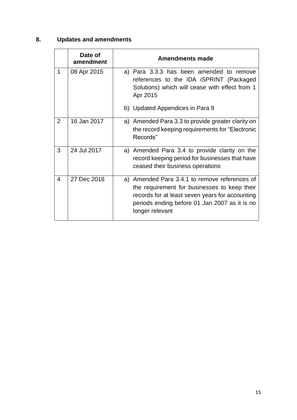# <span id="page-17-0"></span>**8. Updates and amendments**

|   | Date of<br>amendment | <b>Amendments made</b>                                                                                                                                                                                               |
|---|----------------------|----------------------------------------------------------------------------------------------------------------------------------------------------------------------------------------------------------------------|
| 1 | 08 Apr 2015          | a) Para 3.3.3 has been amended to remove<br>references to the IDA ISPRINT (Packaged<br>Solutions) which will cease with effect from 1<br>Apr 2015<br>b) Updated Appendices in Para 9                                 |
|   |                      |                                                                                                                                                                                                                      |
| 2 | 16 Jan 2017          | a) Amended Para 3.3 to provide greater clarity on<br>the record keeping requirements for "Electronic<br>Records"                                                                                                     |
| 3 | 24 Jul 2017          | a) Amended Para 3.4 to provide clarity on the<br>record keeping period for businesses that have<br>ceased their business operations                                                                                  |
| 4 | 27 Dec 2018          | a) Amended Para 3.4.1 to remove references of<br>the requirement for businesses to keep their<br>records for at least seven years for accounting<br>periods ending before 01 Jan 2007 as it is no<br>longer relevant |